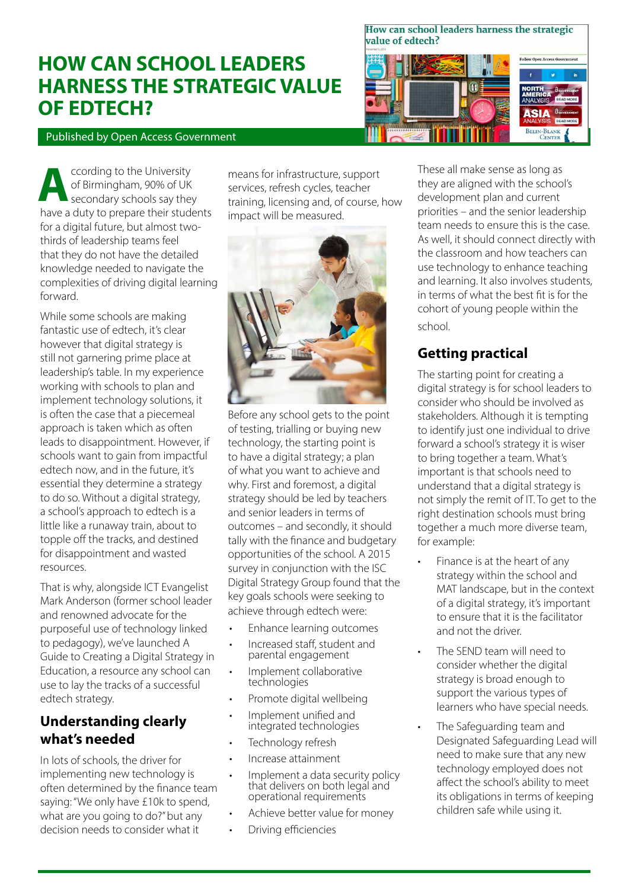# **HOW CAN SCHOOL LEADERS HARNESS THE STRATEGIC VALUE OF EDTECH?**

How can school leaders harness the strategic value of edtech?



Published by Open Access Government

ccording to the University of Birmingham, 90% of UK secondary schools say they **A** have a duty to prepare their students for a digital future, but almost twothirds of leadership teams feel that they do not have the detailed knowledge needed to navigate the complexities of driving digital learning forward.

While some schools are making fantastic use of edtech, it's clear however that digital strategy is still not garnering prime place at leadership's table. In my experience working with schools to plan and implement technology solutions, it is often the case that a piecemeal approach is taken which as often leads to disappointment. However, if schools want to gain from impactful edtech now, and in the future, it's essential they determine a strategy to do so. Without a digital strategy, a school's approach to edtech is a little like a runaway train, about to topple off the tracks, and destined for disappointment and wasted resources.

That is why, alongside ICT Evangelist Mark Anderson (former school leader and renowned advocate for the purposeful use of technology linked to pedagogy), we've launched A Guide to Creating a Digital Strategy in Education, a resource any school can use to lay the tracks of a successful edtech strategy.

## **Understanding clearly what's needed**

In lots of schools, the driver for implementing new technology is often determined by the finance team saying: "We only have £10k to spend, what are you going to do?" but any decision needs to consider what it

means for infrastructure, support services, refresh cycles, teacher training, licensing and, of course, how impact will be measured.



Before any school gets to the point of testing, trialling or buying new technology, the starting point is to have a digital strategy; a plan of what you want to achieve and why. First and foremost, a digital strategy should be led by teachers and senior leaders in terms of outcomes – and secondly, it should tally with the finance and budgetary opportunities of the school. A 2015 survey in conjunction with the ISC Digital Strategy Group found that the key goals schools were seeking to achieve through edtech were:

- Enhance learning outcomes
- Increased staff, student and parental engagement
- Implement collaborative technologies
- Promote digital wellbeing
- Implement unified and integrated technologies
- Technology refresh
- Increase attainment
- Implement a data security policy that delivers on both legal and operational requirements
- Achieve better value for money
- Driving efficiencies

These all make sense as long as they are aligned with the school's development plan and current priorities – and the senior leadership team needs to ensure this is the case. As well, it should connect directly with the classroom and how teachers can use technology to enhance teaching and learning. It also involves students, in terms of what the best fit is for the cohort of young people within the school.

# **Getting practical**

The starting point for creating a digital strategy is for school leaders to consider who should be involved as stakeholders. Although it is tempting to identify just one individual to drive forward a school's strategy it is wiser to bring together a team. What's important is that schools need to understand that a digital strategy is not simply the remit of IT. To get to the right destination schools must bring together a much more diverse team, for example:

- Finance is at the heart of any strategy within the school and MAT landscape, but in the context of a digital strategy, it's important to ensure that it is the facilitator and not the driver.
- The SEND team will need to consider whether the digital strategy is broad enough to support the various types of learners who have special needs.
- The Safeguarding team and Designated Safeguarding Lead will need to make sure that any new technology employed does not affect the school's ability to meet its obligations in terms of keeping children safe while using it.